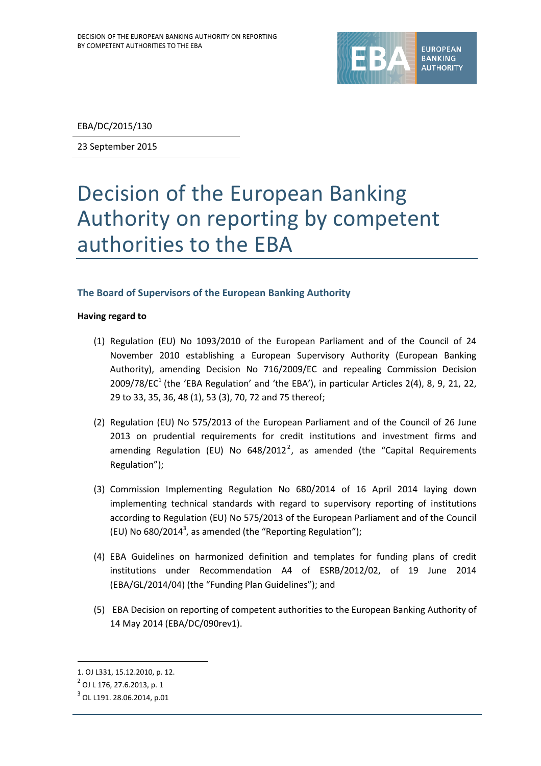

EBA/DC/2015/130

23 September 2015

# Decision of the European Banking Authority on reporting by competent authorities to the EBA

# **The Board of Supervisors of the European Banking Authority**

#### **Having regard to**

- (1) Regulation (EU) No 1093/2010 of the European Parliament and of the Council of 24 November 2010 establishing a European Supervisory Authority (European Banking Authority), amending Decision No 716/2009/EC and repealing Commission Decision 2009/78/EC<sup>1</sup> (the 'EBA Regulation' and 'the EBA'), in particular Articles 2(4), 8, 9, 21, 22, 29 to 33, 35, 36, 48 (1), 53 (3), 70, 72 and 75 thereof;
- (2) Regulation (EU) No 575/2013 of the European Parliament and of the Council of 26 June 2013 on prudential requirements for credit institutions and investment firms and amending Regulation (EU) No 648/2012<sup>2</sup>, as amended (the "Capital Requirements Regulation");
- (3) Commission Implementing Regulation No 680/2014 of 16 April 2014 laying down implementing technical standards with regard to supervisory reporting of institutions according to Regulation (EU) No 575/2013 of the European Parliament and of the Council (EU) No 680/2014<sup>3</sup>, as amended (the "Reporting Regulation");
- (4) EBA Guidelines on harmonized definition and templates for funding plans of credit institutions under Recommendation A4 of ESRB/2012/02, of 19 June 2014 (EBA/GL/2014/04) (the "Funding Plan Guidelines"); and
- (5) EBA Decision on reporting of competent authorities to the European Banking Authority of 14 May 2014 (EBA/DC/090rev1).

1

<sup>1.</sup> OJ L331, 15.12.2010, p. 12.

<sup>2</sup> OJ L 176, 27.6.2013, p. 1

 $^3$  OL L191. 28.06.2014, p.01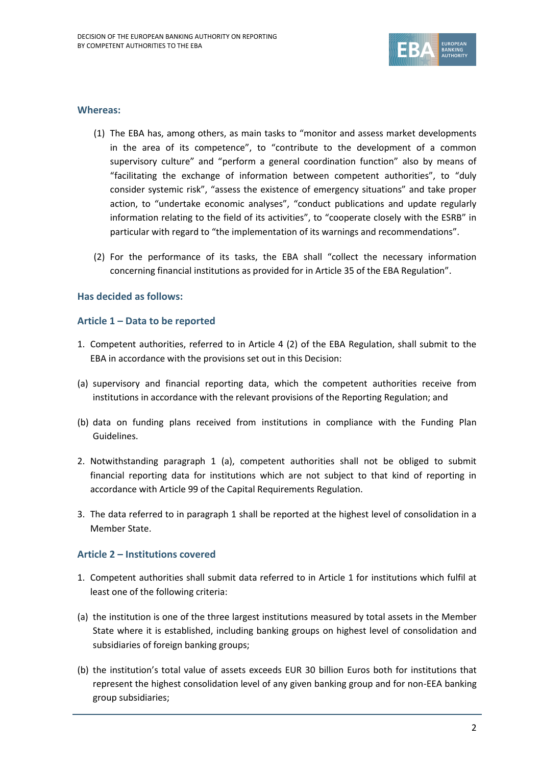

#### **Whereas:**

- (1) The EBA has, among others, as main tasks to "monitor and assess market developments in the area of its competence", to "contribute to the development of a common supervisory culture" and "perform a general coordination function" also by means of "facilitating the exchange of information between competent authorities", to "duly consider systemic risk", "assess the existence of emergency situations" and take proper action, to "undertake economic analyses", "conduct publications and update regularly information relating to the field of its activities", to "cooperate closely with the ESRB" in particular with regard to "the implementation of its warnings and recommendations".
- (2) For the performance of its tasks, the EBA shall "collect the necessary information concerning financial institutions as provided for in Article 35 of the EBA Regulation".

## **Has decided as follows:**

#### **Article 1 – Data to be reported**

- 1. Competent authorities, referred to in Article 4 (2) of the EBA Regulation, shall submit to the EBA in accordance with the provisions set out in this Decision:
- (a) supervisory and financial reporting data, which the competent authorities receive from institutions in accordance with the relevant provisions of the Reporting Regulation; and
- (b) data on funding plans received from institutions in compliance with the Funding Plan Guidelines.
- 2. Notwithstanding paragraph 1 (a), competent authorities shall not be obliged to submit financial reporting data for institutions which are not subject to that kind of reporting in accordance with Article 99 of the Capital Requirements Regulation.
- 3. The data referred to in paragraph 1 shall be reported at the highest level of consolidation in a Member State.

## **Article 2 – Institutions covered**

- 1. Competent authorities shall submit data referred to in Article 1 for institutions which fulfil at least one of the following criteria:
- (a) the institution is one of the three largest institutions measured by total assets in the Member State where it is established, including banking groups on highest level of consolidation and subsidiaries of foreign banking groups;
- (b) the institution's total value of assets exceeds EUR 30 billion Euros both for institutions that represent the highest consolidation level of any given banking group and for non-EEA banking group subsidiaries;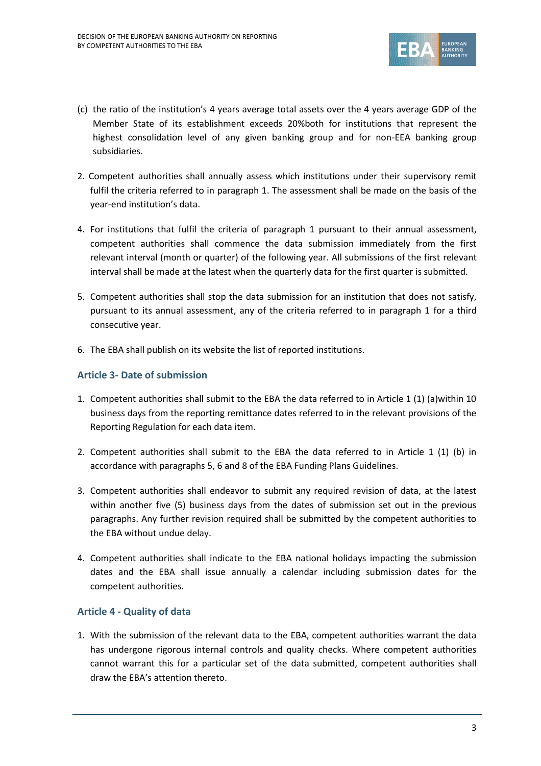

- (c) the ratio of the institution's 4 years average total assets over the 4 years average GDP of the Member State of its establishment exceeds 20%both for institutions that represent the highest consolidation level of any given banking group and for non-EEA banking group subsidiaries.
- 2. Competent authorities shall annually assess which institutions under their supervisory remit fulfil the criteria referred to in paragraph 1. The assessment shall be made on the basis of the year-end institution's data.
- 4. For institutions that fulfil the criteria of paragraph 1 pursuant to their annual assessment, competent authorities shall commence the data submission immediately from the first relevant interval (month or quarter) of the following year. All submissions of the first relevant interval shall be made at the latest when the quarterly data for the first quarter is submitted.
- 5. Competent authorities shall stop the data submission for an institution that does not satisfy, pursuant to its annual assessment, any of the criteria referred to in paragraph 1 for a third consecutive year.
- 6. The EBA shall publish on its website the list of reported institutions.

# **Article 3- Date of submission**

- 1. Competent authorities shall submit to the EBA the data referred to in Article 1 (1) (a)within 10 business days from the reporting remittance dates referred to in the relevant provisions of the Reporting Regulation for each data item.
- 2. Competent authorities shall submit to the EBA the data referred to in Article 1 (1) (b) in accordance with paragraphs 5, 6 and 8 of the EBA Funding Plans Guidelines.
- 3. Competent authorities shall endeavor to submit any required revision of data, at the latest within another five (5) business days from the dates of submission set out in the previous paragraphs. Any further revision required shall be submitted by the competent authorities to the EBA without undue delay.
- 4. Competent authorities shall indicate to the EBA national holidays impacting the submission dates and the EBA shall issue annually a calendar including submission dates for the competent authorities.

## **Article 4 - Quality of data**

1. With the submission of the relevant data to the EBA, competent authorities warrant the data has undergone rigorous internal controls and quality checks. Where competent authorities cannot warrant this for a particular set of the data submitted, competent authorities shall draw the EBA's attention thereto.